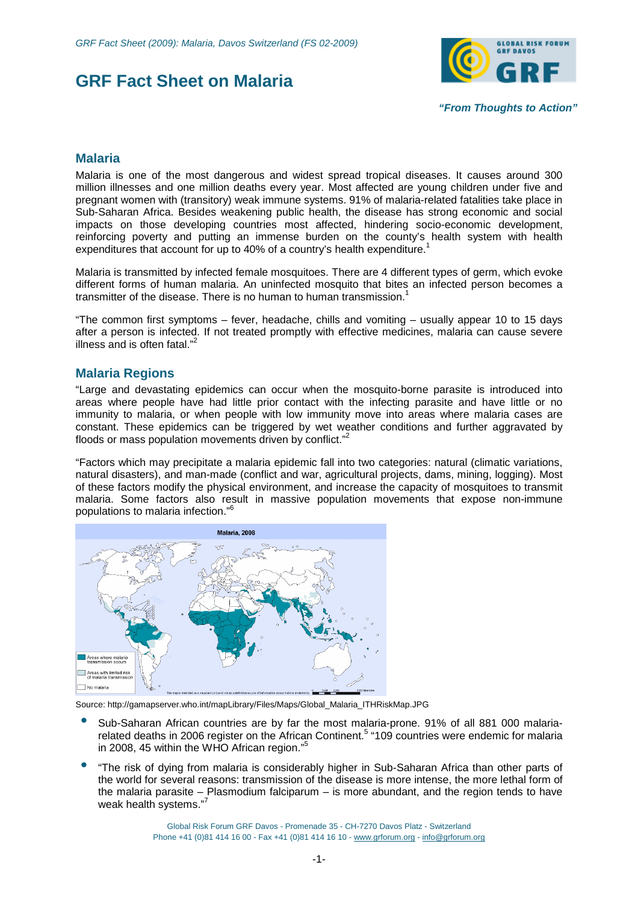



*"From Thoughts to Action"*

## **Malaria**

Malaria is one of the most dangerous and widest spread tropical diseases. It causes around 300 million illnesses and one million deaths every year. Most affected are young children under five and pregnant women with (transitory) weak immune systems. 91% of malaria-related fatalities take place in Sub-Saharan Africa. Besides weakening public health, the disease has strong economic and social impacts on those developing countries most affected, hindering socio-economic development, reinforcing poverty and putting an immense burden on the county's health system with health expenditures that account for up to 40% of a country's health expenditure.<sup>1</sup>

Malaria is transmitted by infected female mosquitoes. There are 4 different types of germ, which evoke different forms of human malaria. An uninfected mosquito that bites an infected person becomes a transmitter of the disease. There is no human to human transmission.<sup>1</sup>

"The common first symptoms – fever, headache, chills and vomiting – usually appear 10 to 15 days after a person is infected. If not treated promptly with effective medicines, malaria can cause severe illness and is often fatal."<sup>2</sup>

## **Malaria Regions**

"Large and devastating epidemics can occur when the mosquito-borne parasite is introduced into areas where people have had little prior contact with the infecting parasite and have little or no immunity to malaria, or when people with low immunity move into areas where malaria cases are constant. These epidemics can be triggered by wet weather conditions and further aggravated by floods or mass population movements driven by conflict."<sup>2</sup>

"Factors which may precipitate a malaria epidemic fall into two categories: natural (climatic variations, natural disasters), and man-made (conflict and war, agricultural projects, dams, mining, logging). Most of these factors modify the physical environment, and increase the capacity of mosquitoes to transmit malaria. Some factors also result in massive population movements that expose non-immune populations to malaria infection."<sup>6</sup>



Source: [http://gamapserver.who.int/mapLibrary/Files/Maps/Global\\_Malaria\\_ITHRiskMap.JPG](http://gamapserver.who.int/mapLibrary/Files/Maps/Global_Malaria_ITHRiskMap.JPG)

- Sub-Saharan African countries are by far the most malaria-prone. 91% of all 881 000 malariarelated deaths in 2006 register on the African Continent.<sup>5</sup> "109 countries were endemic for malaria in 2008, 45 within the WHO African region."<sup>5</sup>
- "The risk of dying from malaria is considerably higher in Sub-Saharan Africa than other parts of the world for several reasons: transmission of the disease is more intense, the more lethal form of the malaria parasite – Plasmodium falciparum – is more abundant, and the region tends to have weak health systems."<sup>7</sup>

Global Risk Forum GRF Davos - Promenade 35 - CH-7270 Davos Platz - Switzerland Phone +41 (0)81 414 16 00 - Fax +41 (0)81 414 16 10 - [www.grforum.org](http://www.grforum.org) - [info@grforum.org](mailto:info@grforum.org)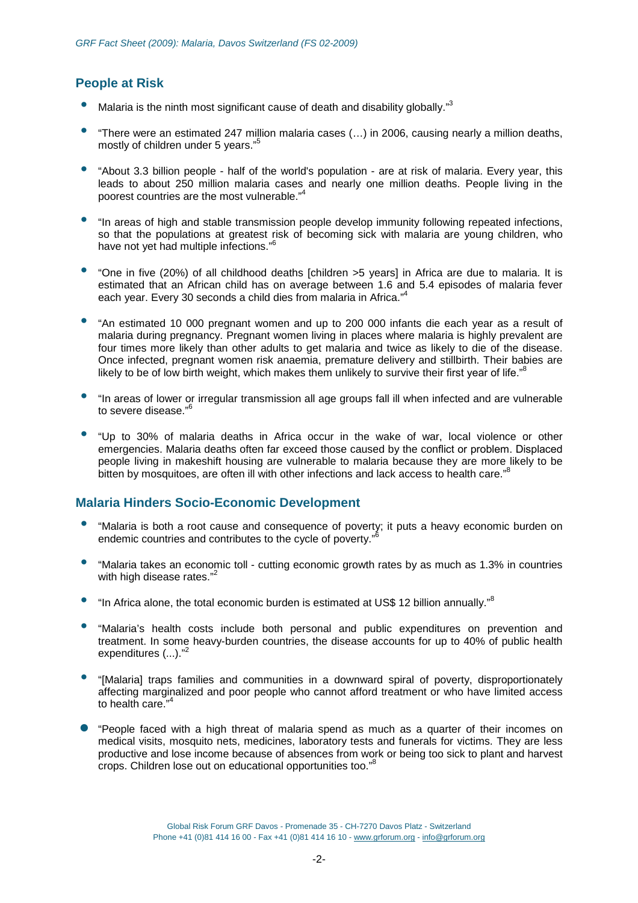# **People at Risk**

- Malaria is the ninth most significant cause of death and disability globally."<sup>3</sup>
- "There were an estimated 247 million malaria cases (…) in 2006, causing nearly a million deaths, mostly of children under 5 years."<sup>5</sup>
- "About 3.3 billion people half of the world's population are at risk of malaria. Every year, this leads to about 250 million malaria cases and nearly one million deaths. People living in the poorest countries are the most vulnerable."<sup>4</sup>
- "In areas of high and stable transmission people develop immunity following repeated infections, so that the populations at greatest risk of becoming sick with malaria are young children, who have not yet had multiple infections."<sup>6</sup>
- "One in five (20%) of all childhood deaths [children >5 years] in Africa are due to malaria. It is estimated that an African child has on average between 1.6 and 5.4 episodes of malaria fever each year. Every 30 seconds a child dies from malaria in Africa."<sup>4</sup>
- "An estimated 10 000 pregnant women and up to 200 000 infants die each year as a result of malaria during pregnancy. Pregnant women living in places where malaria is highly prevalent are four times more likely than other adults to get malaria and twice as likely to die of the disease. Once infected, pregnant women risk anaemia, premature delivery and stillbirth. Their babies are likely to be of low birth weight, which makes them unlikely to survive their first year of life."<sup>8</sup>
- "In areas of lower or irregular transmission all age groups fall ill when infected and are vulnerable to severe disease."<sup>6</sup>
- "Up to 30% of malaria deaths in Africa occur in the wake of war, local violence or other emergencies. Malaria deaths often far exceed those caused by the conflict or problem. Displaced people living in makeshift housing are vulnerable to malaria because they are more likely to be bitten by mosquitoes, are often ill with other infections and lack access to health care."<sup>8</sup>

## **Malaria Hinders Socio-Economic Development**

- "Malaria is both a root cause and consequence of poverty; it puts a heavy economic burden on endemic countries and contributes to the cycle of poverty."
- "Malaria takes an economic toll cutting economic growth rates by as much as 1.3% in countries with high disease rates."<sup>2</sup>
- "In Africa alone, the total economic burden is estimated at US\$ 12 billion annually."<sup>8</sup>
- "Malaria's health costs include both personal and public expenditures on prevention and treatment. In some heavy-burden countries, the disease accounts for up to 40% of public health expenditures (...)."<sup>2</sup>
- "[Malaria] traps families and communities in a downward spiral of poverty, disproportionately affecting marginalized and poor people who cannot afford treatment or who have limited access to health care." 4
- Ɣ "People faced with a high threat of malaria spend as much as a quarter of their incomes on medical visits, mosquito nets, medicines, laboratory tests and funerals for victims. They are less productive and lose income because of absences from work or being too sick to plant and harvest .<br>crops. Children lose out on educational opportunities too."<sup>8</sup>